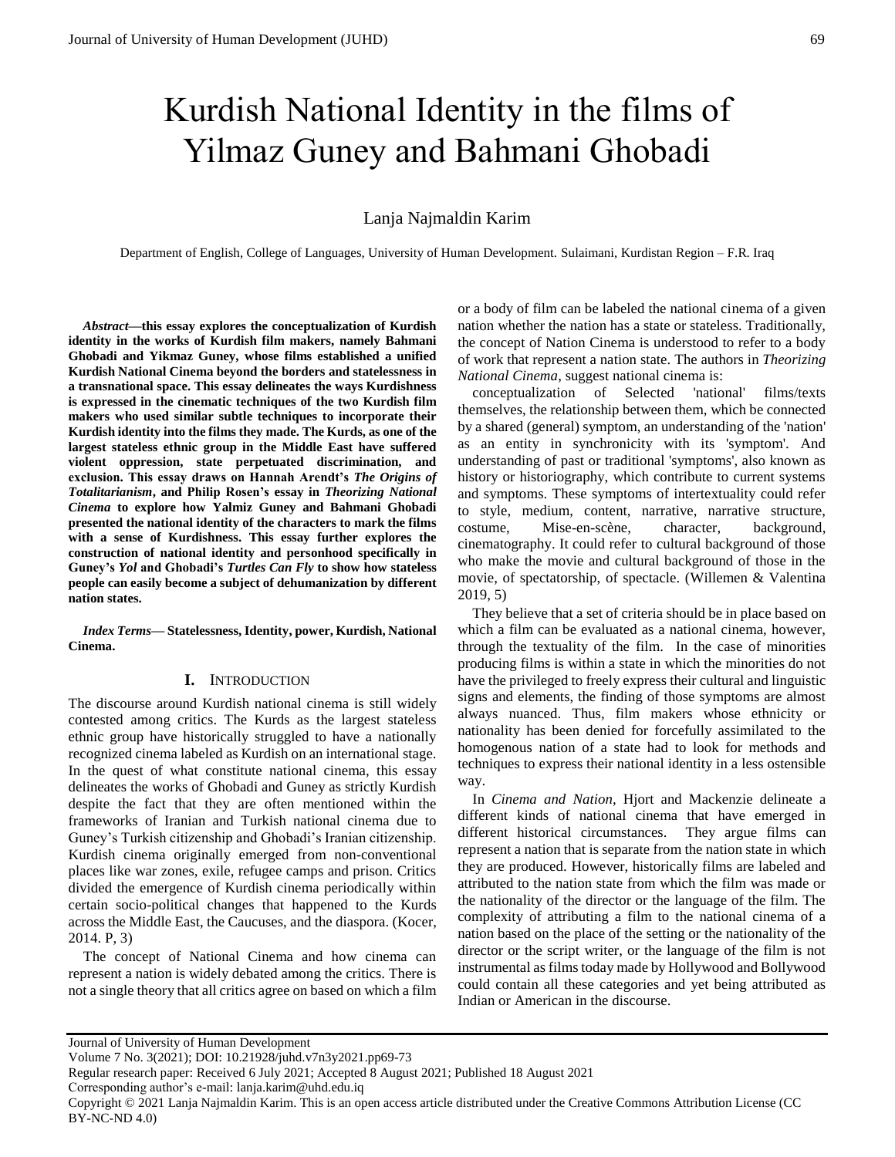# Kurdish National Identity in the films of Yilmaz Guney and Bahmani Ghobadi

## Lanja Najmaldin Karim

Department of English, College of Languages, University of Human Development. Sulaimani, Kurdistan Region – F.R. Iraq

*Abstract***—this essay explores the conceptualization of Kurdish identity in the works of Kurdish film makers, namely Bahmani Ghobadi and Yikmaz Guney, whose films established a unified Kurdish National Cinema beyond the borders and statelessness in a transnational space. This essay delineates the ways Kurdishness is expressed in the cinematic techniques of the two Kurdish film makers who used similar subtle techniques to incorporate their Kurdish identity into the films they made. The Kurds, as one of the largest stateless ethnic group in the Middle East have suffered violent oppression, state perpetuated discrimination, and exclusion. This essay draws on Hannah Arendt's** *The Origins of Totalitarianism***, and Philip Rosen's essay in** *Theorizing National Cinema* **to explore how Yalmiz Guney and Bahmani Ghobadi presented the national identity of the characters to mark the films with a sense of Kurdishness. This essay further explores the construction of national identity and personhood specifically in Guney's** *Yol* **and Ghobadi's** *Turtles Can Fly* **to show how stateless people can easily become a subject of dehumanization by different nation states.**

*Index Terms***— Statelessness, Identity, power, Kurdish, National Cinema.** 

#### **I.** INTRODUCTION

The discourse around Kurdish national cinema is still widely contested among critics. The Kurds as the largest stateless ethnic group have historically struggled to have a nationally recognized cinema labeled as Kurdish on an international stage. In the quest of what constitute national cinema, this essay delineates the works of Ghobadi and Guney as strictly Kurdish despite the fact that they are often mentioned within the frameworks of Iranian and Turkish national cinema due to Guney's Turkish citizenship and Ghobadi's Iranian citizenship. Kurdish cinema originally emerged from non-conventional places like war zones, exile, refugee camps and prison. Critics divided the emergence of Kurdish cinema periodically within certain socio-political changes that happened to the Kurds across the Middle East, the Caucuses, and the diaspora. (Kocer, 2014. P, 3)

The concept of National Cinema and how cinema can represent a nation is widely debated among the critics. There is not a single theory that all critics agree on based on which a film

or a body of film can be labeled the national cinema of a given nation whether the nation has a state or stateless. Traditionally, the concept of Nation Cinema is understood to refer to a body of work that represent a nation state. The authors in *Theorizing National Cinema*, suggest national cinema is:

conceptualization of Selected 'national' films/texts themselves, the relationship between them, which be connected by a shared (general) symptom, an understanding of the 'nation' as an entity in synchronicity with its 'symptom'. And understanding of past or traditional 'symptoms', also known as history or historiography, which contribute to current systems and symptoms. These symptoms of intertextuality could refer to style, medium, content, narrative, narrative structure, costume, Mise-en-scène, character, background, cinematography. It could refer to cultural background of those who make the movie and cultural background of those in the movie, of spectatorship, of spectacle. (Willemen & Valentina 2019, 5)

They believe that a set of criteria should be in place based on which a film can be evaluated as a national cinema, however, through the textuality of the film. In the case of minorities producing films is within a state in which the minorities do not have the privileged to freely express their cultural and linguistic signs and elements, the finding of those symptoms are almost always nuanced. Thus, film makers whose ethnicity or nationality has been denied for forcefully assimilated to the homogenous nation of a state had to look for methods and techniques to express their national identity in a less ostensible way.

In *Cinema and Nation,* Hjort and Mackenzie delineate a different kinds of national cinema that have emerged in different historical circumstances. They argue films can represent a nation that is separate from the nation state in which they are produced. However, historically films are labeled and attributed to the nation state from which the film was made or the nationality of the director or the language of the film. The complexity of attributing a film to the national cinema of a nation based on the place of the setting or the nationality of the director or the script writer, or the language of the film is not instrumental as films today made by Hollywood and Bollywood could contain all these categories and yet being attributed as Indian or American in the discourse.

Corresponding author's e-mail: lanja.karim@uhd.edu.iq

Copyright © 2021 Lanja Najmaldin Karim. This is an open access article distributed under the Creative Commons Attribution License (CC BY-NC-ND 4.0)

Journal of University of Human Development

Volume 7 No. 3(2021); DOI: 10.21928/juhd.v7n3y2021.pp69-73

Regular research paper: Received 6 July 2021; Accepted 8 August 2021; Published 18 August 2021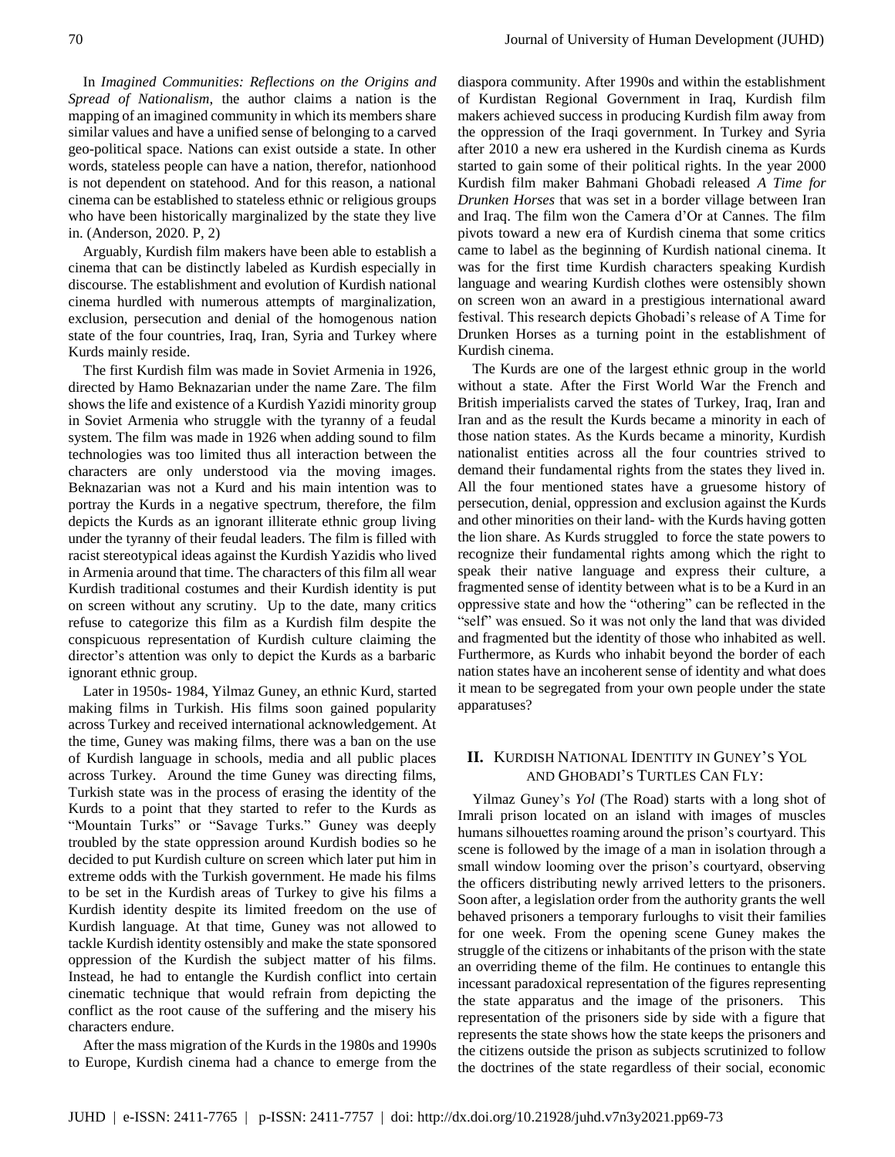In *Imagined Communities: Reflections on the Origins and Spread of Nationalism*, the author claims a nation is the mapping of an imagined community in which its members share similar values and have a unified sense of belonging to a carved geo-political space. Nations can exist outside a state. In other words, stateless people can have a nation, therefor, nationhood is not dependent on statehood. And for this reason, a national cinema can be established to stateless ethnic or religious groups who have been historically marginalized by the state they live in. (Anderson, 2020. P, 2)

Arguably, Kurdish film makers have been able to establish a cinema that can be distinctly labeled as Kurdish especially in discourse. The establishment and evolution of Kurdish national cinema hurdled with numerous attempts of marginalization, exclusion, persecution and denial of the homogenous nation state of the four countries, Iraq, Iran, Syria and Turkey where Kurds mainly reside.

The first Kurdish film was made in Soviet Armenia in 1926, directed by Hamo Beknazarian under the name Zare. The film shows the life and existence of a Kurdish Yazidi minority group in Soviet Armenia who struggle with the tyranny of a feudal system. The film was made in 1926 when adding sound to film technologies was too limited thus all interaction between the characters are only understood via the moving images. Beknazarian was not a Kurd and his main intention was to portray the Kurds in a negative spectrum, therefore, the film depicts the Kurds as an ignorant illiterate ethnic group living under the tyranny of their feudal leaders. The film is filled with racist stereotypical ideas against the Kurdish Yazidis who lived in Armenia around that time. The characters of this film all wear Kurdish traditional costumes and their Kurdish identity is put on screen without any scrutiny. Up to the date, many critics refuse to categorize this film as a Kurdish film despite the conspicuous representation of Kurdish culture claiming the director's attention was only to depict the Kurds as a barbaric ignorant ethnic group.

Later in 1950s- 1984, Yilmaz Guney, an ethnic Kurd, started making films in Turkish. His films soon gained popularity across Turkey and received international acknowledgement. At the time, Guney was making films, there was a ban on the use of Kurdish language in schools, media and all public places across Turkey. Around the time Guney was directing films, Turkish state was in the process of erasing the identity of the Kurds to a point that they started to refer to the Kurds as "Mountain Turks" or "Savage Turks." Guney was deeply troubled by the state oppression around Kurdish bodies so he decided to put Kurdish culture on screen which later put him in extreme odds with the Turkish government. He made his films to be set in the Kurdish areas of Turkey to give his films a Kurdish identity despite its limited freedom on the use of Kurdish language. At that time, Guney was not allowed to tackle Kurdish identity ostensibly and make the state sponsored oppression of the Kurdish the subject matter of his films. Instead, he had to entangle the Kurdish conflict into certain cinematic technique that would refrain from depicting the conflict as the root cause of the suffering and the misery his characters endure.

After the mass migration of the Kurds in the 1980s and 1990s to Europe, Kurdish cinema had a chance to emerge from the diaspora community. After 1990s and within the establishment of Kurdistan Regional Government in Iraq, Kurdish film makers achieved success in producing Kurdish film away from the oppression of the Iraqi government. In Turkey and Syria after 2010 a new era ushered in the Kurdish cinema as Kurds started to gain some of their political rights. In the year 2000 Kurdish film maker Bahmani Ghobadi released *A Time for Drunken Horses* that was set in a border village between Iran and Iraq. The film won the Camera d'Or at Cannes. The film pivots toward a new era of Kurdish cinema that some critics came to label as the beginning of Kurdish national cinema. It was for the first time Kurdish characters speaking Kurdish language and wearing Kurdish clothes were ostensibly shown on screen won an award in a prestigious international award festival. This research depicts Ghobadi's release of A Time for Drunken Horses as a turning point in the establishment of Kurdish cinema.

The Kurds are one of the largest ethnic group in the world without a state. After the First World War the French and British imperialists carved the states of Turkey, Iraq, Iran and Iran and as the result the Kurds became a minority in each of those nation states. As the Kurds became a minority, Kurdish nationalist entities across all the four countries strived to demand their fundamental rights from the states they lived in. All the four mentioned states have a gruesome history of persecution, denial, oppression and exclusion against the Kurds and other minorities on their land- with the Kurds having gotten the lion share. As Kurds struggled to force the state powers to recognize their fundamental rights among which the right to speak their native language and express their culture, a fragmented sense of identity between what is to be a Kurd in an oppressive state and how the "othering" can be reflected in the "self" was ensued. So it was not only the land that was divided and fragmented but the identity of those who inhabited as well. Furthermore, as Kurds who inhabit beyond the border of each nation states have an incoherent sense of identity and what does it mean to be segregated from your own people under the state apparatuses?

## **II.** KURDISH NATIONAL IDENTITY IN GUNEY'S YOL AND GHOBADI'S TURTLES CAN FLY:

Yilmaz Guney's *Yol* (The Road) starts with a long shot of Imrali prison located on an island with images of muscles humans silhouettes roaming around the prison's courtyard. This scene is followed by the image of a man in isolation through a small window looming over the prison's courtyard, observing the officers distributing newly arrived letters to the prisoners. Soon after, a legislation order from the authority grants the well behaved prisoners a temporary furloughs to visit their families for one week. From the opening scene Guney makes the struggle of the citizens or inhabitants of the prison with the state an overriding theme of the film. He continues to entangle this incessant paradoxical representation of the figures representing the state apparatus and the image of the prisoners. This representation of the prisoners side by side with a figure that represents the state shows how the state keeps the prisoners and the citizens outside the prison as subjects scrutinized to follow the doctrines of the state regardless of their social, economic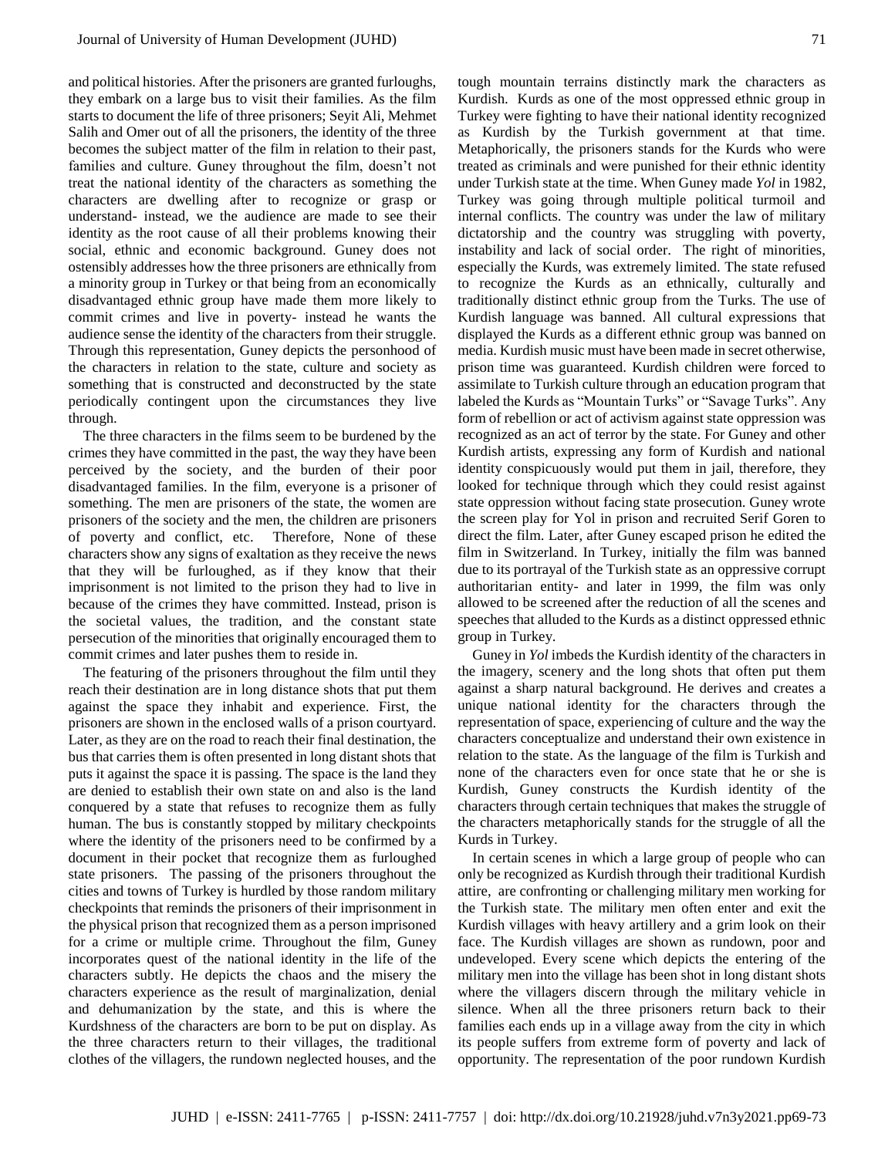and political histories. After the prisoners are granted furloughs, they embark on a large bus to visit their families. As the film starts to document the life of three prisoners; Seyit Ali, Mehmet Salih and Omer out of all the prisoners, the identity of the three becomes the subject matter of the film in relation to their past, families and culture. Guney throughout the film, doesn't not treat the national identity of the characters as something the characters are dwelling after to recognize or grasp or understand- instead, we the audience are made to see their identity as the root cause of all their problems knowing their social, ethnic and economic background. Guney does not ostensibly addresses how the three prisoners are ethnically from a minority group in Turkey or that being from an economically disadvantaged ethnic group have made them more likely to commit crimes and live in poverty- instead he wants the audience sense the identity of the characters from their struggle. Through this representation, Guney depicts the personhood of the characters in relation to the state, culture and society as something that is constructed and deconstructed by the state periodically contingent upon the circumstances they live through.

The three characters in the films seem to be burdened by the crimes they have committed in the past, the way they have been perceived by the society, and the burden of their poor disadvantaged families. In the film, everyone is a prisoner of something. The men are prisoners of the state, the women are prisoners of the society and the men, the children are prisoners of poverty and conflict, etc. Therefore, None of these characters show any signs of exaltation as they receive the news that they will be furloughed, as if they know that their imprisonment is not limited to the prison they had to live in because of the crimes they have committed. Instead, prison is the societal values, the tradition, and the constant state persecution of the minorities that originally encouraged them to commit crimes and later pushes them to reside in.

The featuring of the prisoners throughout the film until they reach their destination are in long distance shots that put them against the space they inhabit and experience. First, the prisoners are shown in the enclosed walls of a prison courtyard. Later, as they are on the road to reach their final destination, the bus that carries them is often presented in long distant shots that puts it against the space it is passing. The space is the land they are denied to establish their own state on and also is the land conquered by a state that refuses to recognize them as fully human. The bus is constantly stopped by military checkpoints where the identity of the prisoners need to be confirmed by a document in their pocket that recognize them as furloughed state prisoners. The passing of the prisoners throughout the cities and towns of Turkey is hurdled by those random military checkpoints that reminds the prisoners of their imprisonment in the physical prison that recognized them as a person imprisoned for a crime or multiple crime. Throughout the film, Guney incorporates quest of the national identity in the life of the characters subtly. He depicts the chaos and the misery the characters experience as the result of marginalization, denial and dehumanization by the state, and this is where the Kurdshness of the characters are born to be put on display. As the three characters return to their villages, the traditional clothes of the villagers, the rundown neglected houses, and the

tough mountain terrains distinctly mark the characters as Kurdish. Kurds as one of the most oppressed ethnic group in Turkey were fighting to have their national identity recognized as Kurdish by the Turkish government at that time. Metaphorically, the prisoners stands for the Kurds who were treated as criminals and were punished for their ethnic identity under Turkish state at the time. When Guney made *Yol* in 1982, Turkey was going through multiple political turmoil and internal conflicts. The country was under the law of military dictatorship and the country was struggling with poverty, instability and lack of social order. The right of minorities, especially the Kurds, was extremely limited. The state refused to recognize the Kurds as an ethnically, culturally and traditionally distinct ethnic group from the Turks. The use of Kurdish language was banned. All cultural expressions that displayed the Kurds as a different ethnic group was banned on media. Kurdish music must have been made in secret otherwise, prison time was guaranteed. Kurdish children were forced to assimilate to Turkish culture through an education program that labeled the Kurds as "Mountain Turks" or "Savage Turks". Any form of rebellion or act of activism against state oppression was recognized as an act of terror by the state. For Guney and other Kurdish artists, expressing any form of Kurdish and national identity conspicuously would put them in jail, therefore, they looked for technique through which they could resist against state oppression without facing state prosecution. Guney wrote the screen play for Yol in prison and recruited Serif Goren to direct the film. Later, after Guney escaped prison he edited the film in Switzerland. In Turkey, initially the film was banned due to its portrayal of the Turkish state as an oppressive corrupt authoritarian entity- and later in 1999, the film was only allowed to be screened after the reduction of all the scenes and speeches that alluded to the Kurds as a distinct oppressed ethnic group in Turkey.

Guney in *Yol* imbeds the Kurdish identity of the characters in the imagery, scenery and the long shots that often put them against a sharp natural background. He derives and creates a unique national identity for the characters through the representation of space, experiencing of culture and the way the characters conceptualize and understand their own existence in relation to the state. As the language of the film is Turkish and none of the characters even for once state that he or she is Kurdish, Guney constructs the Kurdish identity of the characters through certain techniques that makes the struggle of the characters metaphorically stands for the struggle of all the Kurds in Turkey.

In certain scenes in which a large group of people who can only be recognized as Kurdish through their traditional Kurdish attire, are confronting or challenging military men working for the Turkish state. The military men often enter and exit the Kurdish villages with heavy artillery and a grim look on their face. The Kurdish villages are shown as rundown, poor and undeveloped. Every scene which depicts the entering of the military men into the village has been shot in long distant shots where the villagers discern through the military vehicle in silence. When all the three prisoners return back to their families each ends up in a village away from the city in which its people suffers from extreme form of poverty and lack of opportunity. The representation of the poor rundown Kurdish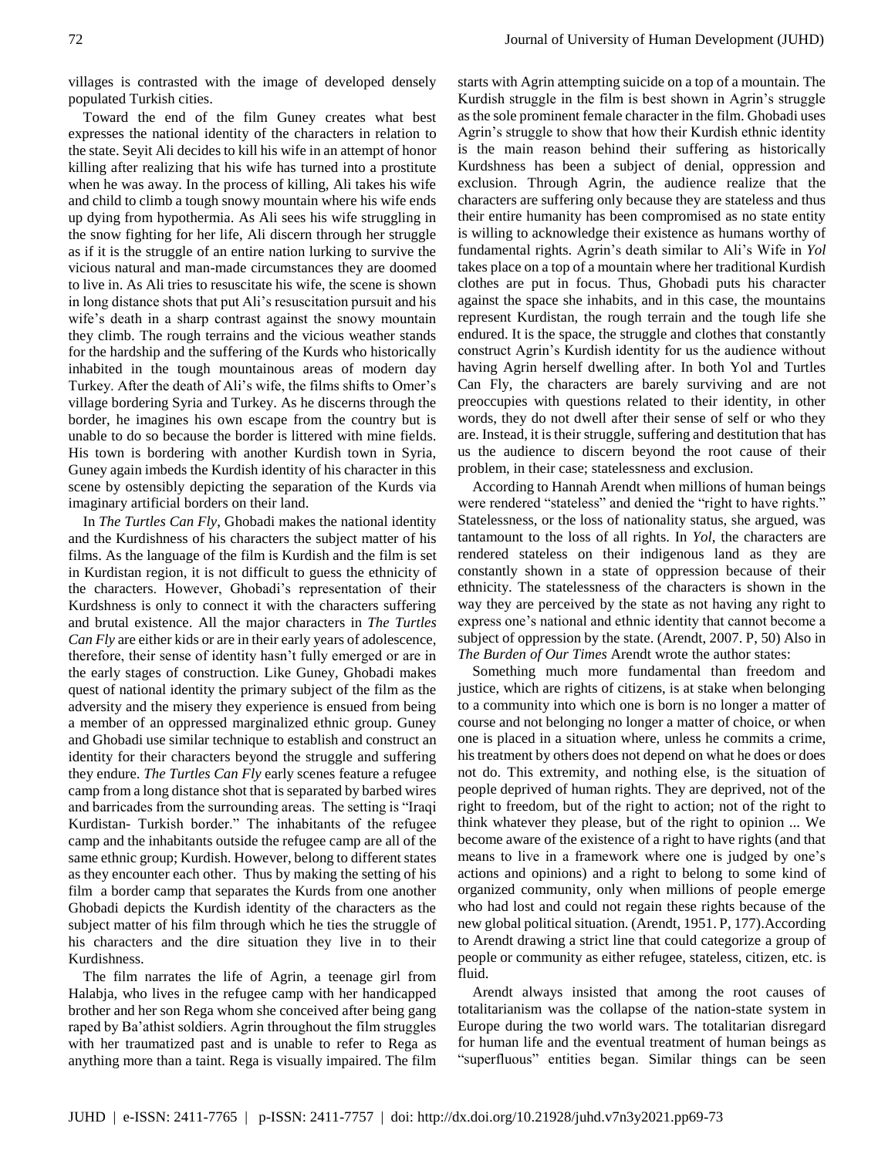villages is contrasted with the image of developed densely populated Turkish cities.

Toward the end of the film Guney creates what best expresses the national identity of the characters in relation to the state. Seyit Ali decides to kill his wife in an attempt of honor killing after realizing that his wife has turned into a prostitute when he was away. In the process of killing, Ali takes his wife and child to climb a tough snowy mountain where his wife ends up dying from hypothermia. As Ali sees his wife struggling in the snow fighting for her life, Ali discern through her struggle as if it is the struggle of an entire nation lurking to survive the vicious natural and man-made circumstances they are doomed to live in. As Ali tries to resuscitate his wife, the scene is shown in long distance shots that put Ali's resuscitation pursuit and his wife's death in a sharp contrast against the snowy mountain they climb. The rough terrains and the vicious weather stands for the hardship and the suffering of the Kurds who historically inhabited in the tough mountainous areas of modern day Turkey. After the death of Ali's wife, the films shifts to Omer's village bordering Syria and Turkey. As he discerns through the border, he imagines his own escape from the country but is unable to do so because the border is littered with mine fields. His town is bordering with another Kurdish town in Syria, Guney again imbeds the Kurdish identity of his character in this scene by ostensibly depicting the separation of the Kurds via imaginary artificial borders on their land.

In *The Turtles Can Fly*, Ghobadi makes the national identity and the Kurdishness of his characters the subject matter of his films. As the language of the film is Kurdish and the film is set in Kurdistan region, it is not difficult to guess the ethnicity of the characters. However, Ghobadi's representation of their Kurdshness is only to connect it with the characters suffering and brutal existence. All the major characters in *The Turtles Can Fly* are either kids or are in their early years of adolescence, therefore, their sense of identity hasn't fully emerged or are in the early stages of construction. Like Guney, Ghobadi makes quest of national identity the primary subject of the film as the adversity and the misery they experience is ensued from being a member of an oppressed marginalized ethnic group. Guney and Ghobadi use similar technique to establish and construct an identity for their characters beyond the struggle and suffering they endure. *The Turtles Can Fly* early scenes feature a refugee camp from a long distance shot that is separated by barbed wires and barricades from the surrounding areas. The setting is "Iraqi Kurdistan- Turkish border." The inhabitants of the refugee camp and the inhabitants outside the refugee camp are all of the same ethnic group; Kurdish. However, belong to different states as they encounter each other. Thus by making the setting of his film a border camp that separates the Kurds from one another Ghobadi depicts the Kurdish identity of the characters as the subject matter of his film through which he ties the struggle of his characters and the dire situation they live in to their Kurdishness.

The film narrates the life of Agrin, a teenage girl from Halabja, who lives in the refugee camp with her handicapped brother and her son Rega whom she conceived after being gang raped by Ba'athist soldiers. Agrin throughout the film struggles with her traumatized past and is unable to refer to Rega as anything more than a taint. Rega is visually impaired. The film

starts with Agrin attempting suicide on a top of a mountain. The Kurdish struggle in the film is best shown in Agrin's struggle as the sole prominent female character in the film. Ghobadi uses Agrin's struggle to show that how their Kurdish ethnic identity is the main reason behind their suffering as historically Kurdshness has been a subject of denial, oppression and exclusion. Through Agrin, the audience realize that the characters are suffering only because they are stateless and thus their entire humanity has been compromised as no state entity is willing to acknowledge their existence as humans worthy of fundamental rights. Agrin's death similar to Ali's Wife in *Yol* takes place on a top of a mountain where her traditional Kurdish clothes are put in focus. Thus, Ghobadi puts his character against the space she inhabits, and in this case, the mountains represent Kurdistan, the rough terrain and the tough life she endured. It is the space, the struggle and clothes that constantly construct Agrin's Kurdish identity for us the audience without having Agrin herself dwelling after. In both Yol and Turtles Can Fly, the characters are barely surviving and are not preoccupies with questions related to their identity, in other words, they do not dwell after their sense of self or who they are. Instead, it is their struggle, suffering and destitution that has us the audience to discern beyond the root cause of their problem, in their case; statelessness and exclusion.

According to Hannah Arendt when millions of human beings were rendered "stateless" and denied the "right to have rights." Statelessness, or the loss of nationality status, she argued, was tantamount to the loss of all rights. In *Yol*, the characters are rendered stateless on their indigenous land as they are constantly shown in a state of oppression because of their ethnicity. The statelessness of the characters is shown in the way they are perceived by the state as not having any right to express one's national and ethnic identity that cannot become a subject of oppression by the state. (Arendt, 2007. P, 50) Also in *The Burden of Our Times* Arendt wrote the author states:

Something much more fundamental than freedom and justice, which are rights of citizens, is at stake when belonging to a community into which one is born is no longer a matter of course and not belonging no longer a matter of choice, or when one is placed in a situation where, unless he commits a crime, his treatment by others does not depend on what he does or does not do. This extremity, and nothing else, is the situation of people deprived of human rights. They are deprived, not of the right to freedom, but of the right to action; not of the right to think whatever they please, but of the right to opinion ... We become aware of the existence of a right to have rights (and that means to live in a framework where one is judged by one's actions and opinions) and a right to belong to some kind of organized community, only when millions of people emerge who had lost and could not regain these rights because of the new global political situation. (Arendt, 1951. P, 177).According to Arendt drawing a strict line that could categorize a group of people or community as either refugee, stateless, citizen, etc. is fluid.

Arendt always insisted that among the root causes of totalitarianism was the collapse of the nation-state system in Europe during the two world wars. The totalitarian disregard for human life and the eventual treatment of human beings as "superfluous" entities began. Similar things can be seen